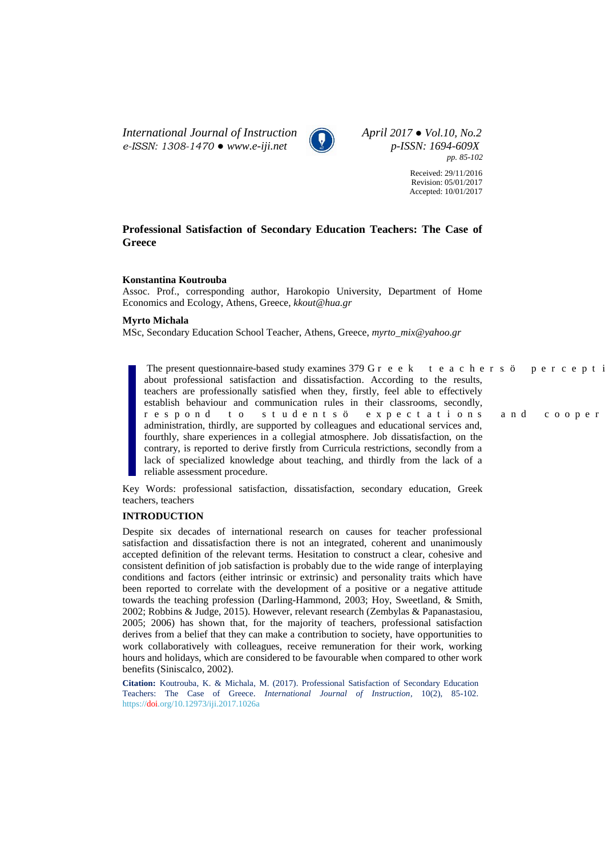*International Journal of Instruction April 2017 ● Vol.10, No.2 e-ISSN: 1308-1470 ● www.e-iji.net p-ISSN: 1694-609X*



*pp. 85-102*

Received: 29/11/2016 Revision: 05/01/2017 Accepted: 10/01/2017

# **Professional Satisfaction of Secondary Education Teachers: The Case of Greece**

### **Konstantina Koutrouba**

Assoc. Prof., corresponding author, Harokopio University, Department of Home Economics and Ecology, Athens, Greece, *[kkout@hua.gr](mailto:kkout@hua.gr)*

### **Myrto Michala**

MSc, Secondary Education School Teacher, Athens, Greece, *[myrto\\_mix@yahoo.gr](mailto:myrto_mix@yahoo.gr)*

The present questionnaire-based study examines 379  $I$  t g g m " v g c e j g t u  $\emptyset$  " r g t e g r v about professional satisfaction and dissatisfaction. According to the results, teachers are professionally satisfied when they, firstly, feel able to effectively establish behaviour and communication rules in their classrooms, secondly, tgurqpf" vq "uvwfgpvuø" gzrgevcvkqpu" cpf" eqqrgt administration, thirdly, are supported by colleagues and educational services and, fourthly, share experiences in a collegial atmosphere. Job dissatisfaction, on the contrary, is reported to derive firstly from Curricula restrictions, secondly from a lack of specialized knowledge about teaching, and thirdly from the lack of a reliable assessment procedure.

Key Words: professional satisfaction, dissatisfaction, secondary education, Greek teachers, teachers

# **INTRODUCTION**

Despite six decades of international research on causes for teacher professional satisfaction and dissatisfaction there is not an integrated, coherent and unanimously accepted definition of the relevant terms. Hesitation to construct a clear, cohesive and consistent definition of job satisfaction is probably due to the wide range of interplaying conditions and factors (either intrinsic or extrinsic) and personality traits which have been reported to correlate with the development of a positive or a negative attitude towards the teaching profession (Darling-Hammond, 2003; Hoy, Sweetland, & Smith, 2002; Robbins & Judge, 2015). However, relevant research (Zembylas & Papanastasiou, 2005; 2006) has shown that, for the majority of teachers, professional satisfaction derives from a belief that they can make a contribution to society, have opportunities to work collaboratively with colleagues, receive remuneration for their work, working hours and holidays, which are considered to be favourable when compared to other work benefits (Siniscalco, 2002).

**Citation:** Koutrouba, K. & Michala, M. (2017). Professional Satisfaction of Secondary Education Teachers: The Case of Greece. *International Journal of Instruction*, 10(2), 85-102. https://doi.org/10.12973/iji.2017.1026a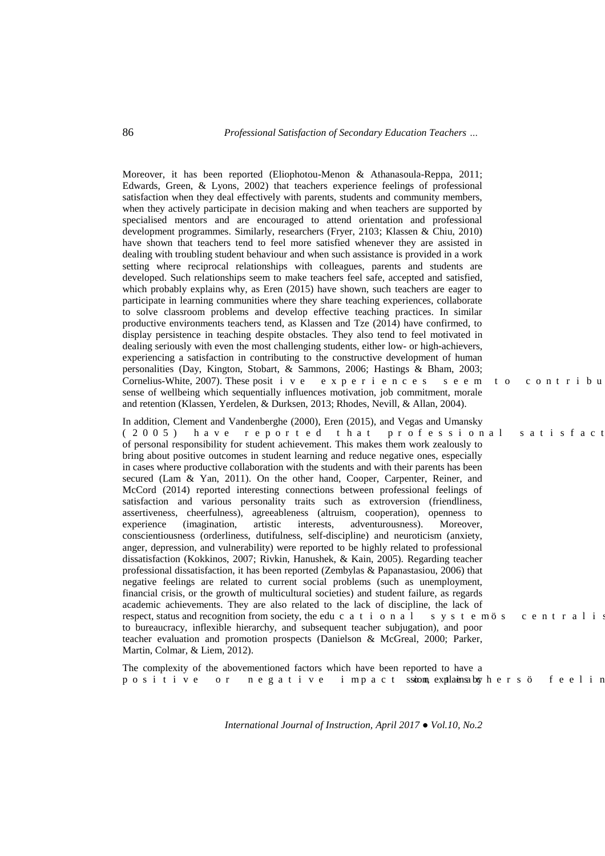Moreover, it has been reported (Eliophotou-Menon & Athanasoula-Reppa, 2011; Edwards, Green, & Lyons, 2002) that teachers experience feelings of professional satisfaction when they deal effectively with parents, students and community members, when they actively participate in decision making and when teachers are supported by specialised mentors and are encouraged to attend orientation and professional development programmes. Similarly, researchers (Fryer, 2103; Klassen & Chiu, 2010) have shown that teachers tend to feel more satisfied whenever they are assisted in dealing with troubling student behaviour and when such assistance is provided in a work setting where reciprocal relationships with colleagues, parents and students are developed. Such relationships seem to make teachers feel safe, accepted and satisfied, which probably explains why, as Eren (2015) have shown, such teachers are eager to participate in learning communities where they share teaching experiences, collaborate to solve classroom problems and develop effective teaching practices. In similar productive environments teachers tend, as Klassen and Tze (2014) have confirmed, to display persistence in teaching despite obstacles. They also tend to feel motivated in dealing seriously with even the most challenging students, either low- or high-achievers, experiencing a satisfaction in contributing to the constructive development of human personalities (Day, Kington, Stobart, & Sammons, 2006; Hastings & Bham, 2003; Cornelius-White, 2007). These posivkxg "gzrgtkgpegu "uggo "vq "eqpvtkdw sense of wellbeing which sequentially influences motivation, job commitment, morale and retention (Klassen, Yerdelen, & Durksen, 2013; Rhodes, Nevill, & Allan, 2004). In addition, Clement and Vandenberghe (2000), Eren (2015), and Vegas and Umansky

KA 2 2 7 + " j c x g " t g r q t v g f " v j c v " r t q h g u u k q p c n " u c v k u h c e v # of personal responsibility for student achievement. This makes them work zealously to bring about positive outcomes in student learning and reduce negative ones, especially in cases where productive collaboration with the students and with their parents has been secured (Lam & Yan, 2011). On the other hand, Cooper, Carpenter, Reiner, and McCord (2014) reported interesting connections between professional feelings of satisfaction and various personality traits such as extroversion (friendliness, assertiveness, cheerfulness), agreeableness (altruism, cooperation), openness to experience (imagination, artistic interests, adventurousness). Moreover, conscientiousness (orderliness, dutifulness, self-discipline) and neuroticism (anxiety, anger, depression, and vulnerability) were reported to be highly related to professional dissatisfaction (Kokkinos, 2007; Rivkin, Hanushek, & Kain, 2005). Regarding teacher professional dissatisfaction, it has been reported (Zembylas & Papanastasiou, 2006) that negative feelings are related to current social problems (such as unemployment, financial crisis, or the growth of multicultural societies) and student failure, as regards academic achievements. They are also related to the lack of discipline, the lack of respect, status and recognition from society, the edwe c v k q p c n " u { u v g o ø u " e g p v t c n k to bureaucracy, inflexible hierarchy, and subsequent teacher subjugation), and poor teacher evaluation and promotion prospects (Danielson & McGreal, 2000; Parker, Martin, Colmar, & Liem, 2012).

The complexity of the abovementioned factors which have been reported to have a rqukvkxg "qt "pgicvkxg "korcev "ssionpe"xplaigscbyejgtuø" hggnkj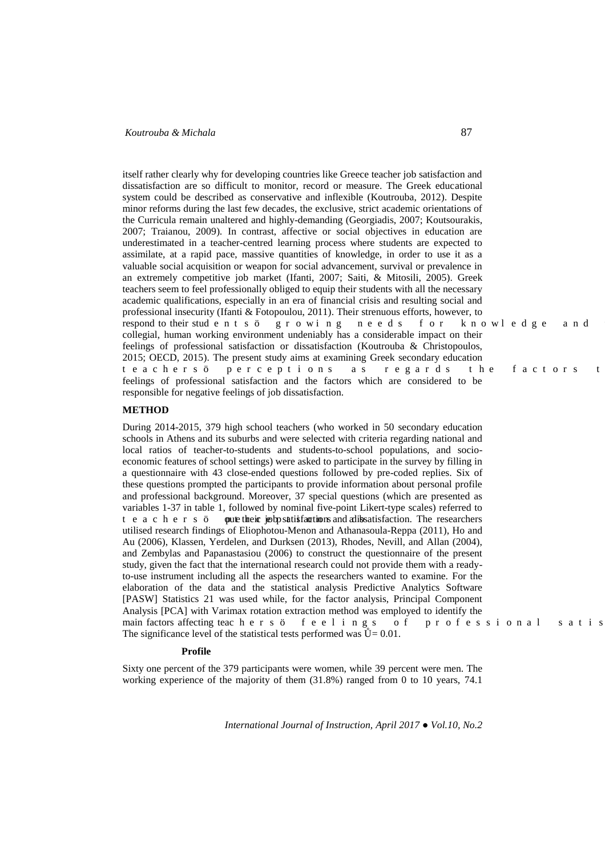itself rather clearly why for developing countries like Greece teacher job satisfaction and dissatisfaction are so difficult to monitor, record or measure. The Greek educational system could be described as conservative and inflexible (Koutrouba, 2012). Despite minor reforms during the last few decades, the exclusive, strict academic orientations of the Curricula remain unaltered and highly-demanding (Georgiadis, 2007; Koutsourakis, 2007; Traianou, 2009)*.* In contrast, affective or social objectives in education are underestimated in a teacher-centred learning process where students are expected to assimilate, at a rapid pace, massive quantities of knowledge, in order to use it as a valuable social acquisition or weapon for social advancement, survival or prevalence in an extremely competitive job market (Ifanti, 2007; Saiti, & Mitosili, 2005). Greek teachers seem to feel professionally obliged to equip their students with all the necessary academic qualifications, especially in an era of financial crisis and resulting social and professional insecurity (Ifanti & Fotopoulou, 2011). Their strenuous efforts, however, to respond to their stufgpvuø" i tqykpi "pggfu" hqt "mpqyngfig" cpf" collegial, human working environment undeniably has a considerable impact on their feelings of professional satisfaction or dissatisfaction (Koutrouba & Christopoulos, 2015; OECD, 2015). The present study aims at examining Greek secondary education vgcejgtuø" rgtegrvkqpu" cu" tgictfu" vjg" hcevqtu" v feelings of professional satisfaction and the factors which are considered to be responsible for negative feelings of job dissatisfaction.

## **METHOD**

During 2014-2015, 379 high school teachers (who worked in 50 secondary education schools in Athens and its suburbs and were selected with criteria regarding national and local ratios of teacher-to-students and students-to-school populations, and socioeconomic features of school settings) were asked to participate in the survey by filling in a questionnaire with 43 close-ended questions followed by pre-coded replies. Six of these questions prompted the participants to provide information about personal profile and professional background. Moreover, 37 special questions (which are presented as variables 1-37 in table 1, followed by nominal five-point Likert-type scales) referred to  $\vee$  g c e j g t u  $\emptyset$  " ont gtheir job rsatisfaction and disstatisfaction. The researchers utilised research findings of Eliophotou-Menon and Athanasoula-Reppa (2011), Ho and Au (2006), Klassen, Yerdelen, and Durksen (2013), Rhodes, Nevill, and Allan (2004), and Zembylas and Papanastasiou (2006) to construct the questionnaire of the present study, given the fact that the international research could not provide them with a readyto-use instrument including all the aspects the researchers wanted to examine. For the elaboration of the data and the statistical analysis Predictive Analytics Software [PASW] Statistics 21 was used while, for the factor analysis, Principal Component Analysis [PCA] with Varimax rotation extraction method was employed to identify the main factors affecting tea e jgtuø" hggn kpiu" qh "rtqhguukqpcn"ucvku The significance level of the statistical tests performed was  $= 0.01$ .

### ParticProfilents'

Sixty one percent of the 379 participants were women, while 39 percent were men. The working experience of the majority of them (31.8%) ranged from 0 to 10 years, 74.1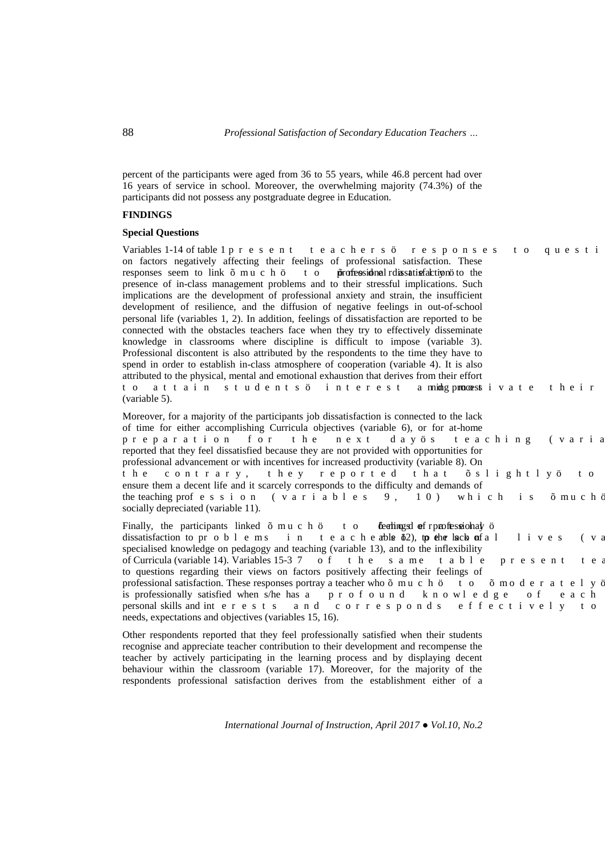88 *Professional Satisfaction of Secondary Education Teachers …*

percent of the participants were aged from 36 to 55 years, while 46.8 percent had over 16 years of service in school. Moreover, the overwhelming majority (74.3%) of the participants did not possess any postgraduate degree in Education.

# **FINDINGS**

### **Special Questions**

Variables 1-14 of table 1 r t g u g p v " v g c e j g t u ø " t g u r q p u g u " v q " s w g u v k on factors negatively affecting their feelings of professional satisfaction. These responses seem to link  $\div$  owe j  $\phi$  " v q " professional dissatisfaction oto the presence of in-class management problems and to their stressful implications. Such implications are the development of professional anxiety and strain, the insufficient development of resilience, and the diffusion of negative feelings in out-of-school personal life (variables 1, 2). In addition, feelings of dissatisfaction are reported to be connected with the obstacles teachers face when they try to effectively disseminate knowledge in classrooms where discipline is difficult to impose (variable 3). Professional discontent is also attributed by the respondents to the time they have to spend in order to establish in-class atmosphere of cooperation (variable 4). It is also attributed to the physical, mental and emotional exhaustion that derives from their effort vq "cvvckp" uvwfgpvuø" kpvgtguv" c puifg'processvkxcvg "vjgkt" (variable 5).

Moreover, for a majority of the participants job dissatisfaction is connected to the lack of time for either accomplishing Curricula objectives (variable 6), or for at-home rtgrctcvkqp" hqt" vjg" pgzv" fc {øu" vgcejkpi" \* xctko reported that they feel dissatisfied because they are not provided with opportunities for professional advancement or with incentives for increased productivity (variable 8). On vjg "eqpvtct{. "vjg{"tgrqtvgf"vjcv"÷unkijvn{ø"vq' ensure them a decent life and it scarcely corresponds to the difficulty and demands of the teaching proh guukqp " \* x c t k c d n gu " ; . " 3 2 + " y j k e j " k u " ÷ o w e j <sub>i</sub> socially depreciated (variable 11).

Finally, the participants linked  $\div$  owe j  $\phi$  " v q " feelings f of professional  $\phi$  " dissatisfaction to pt q d n g o u " k p " v g c e j gable 12)," to the tlack q of c n " n k x g u " \* x specialised knowledge on pedagogy and teaching (variable 13), and to the inflexibility of Curricula (variable 14). Variables 15-59" q h " v j g " u c o g " v c d n g " r t g u g p v " v g to questions regarding their views on factors positively affecting their feelings of professional satisfaction. These responses portray a teacher who  $\div$  o w e j ø " v q "  $\div$  o q f g t c v g n { q is professionally satisfied when s/he has c  $\overline{S}$  r t q h q w p f  $\overline{S}$  m p q y n g f i g  $\overline{S}$  q h  $\overline{S}$  g c e j personal skills and invgtguvu "cpf" eqttgurqpfu "ghhgevkxgn{"vq needs, expectations and objectives (variables 15, 16).

Other respondents reported that they feel professionally satisfied when their students recognise and appreciate teacher contribution to their development and recompense the teacher by actively participating in the learning process and by displaying decent behaviour within the classroom (variable 17). Moreover, for the majority of the respondents professional satisfaction derives from the establishment either of a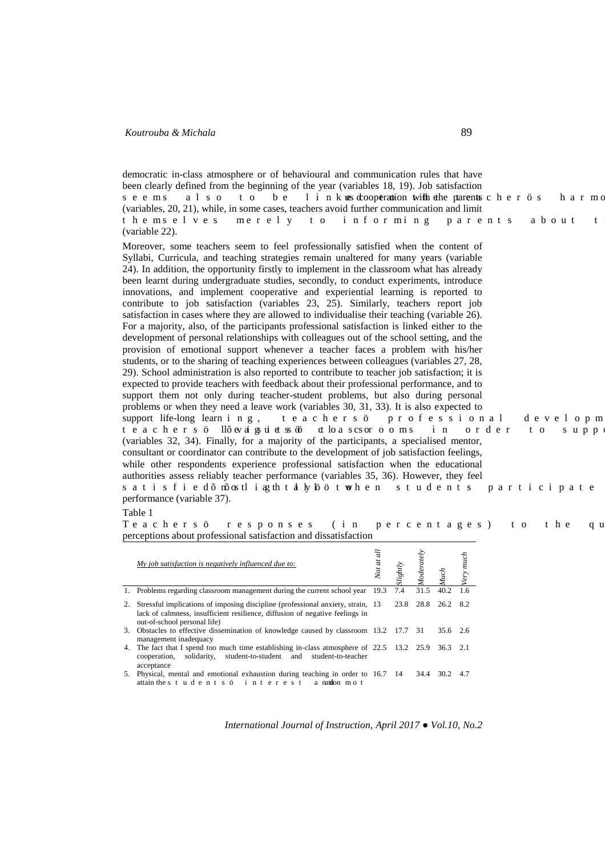democratic in-class atmosphere or of behavioural and communication rules that have been clearly defined from the beginning of the year (variables 18, 19). Job satisfaction uggou" cnuq" vq" dg" nkpmug cooperation with the parents e jgtøu" jctod (variables, 20, 21), while, in some cases, teachers avoid further communication and limit Vjgougnxgu "ogtgn{" vq "kphqtokpi "rctgpvu "cdqwv " v (variable 22).

Moreover, some teachers seem to feel professionally satisfied when the content of Syllabi, Curricula, and teaching strategies remain unaltered for many years (variable 24). In addition, the opportunity firstly to implement in the classroom what has already been learnt during undergraduate studies, secondly, to conduct experiments, introduce innovations, and implement cooperative and experiential learning is reported to contribute to job satisfaction (variables 23, 25). Similarly, teachers report job satisfaction in cases where they are allowed to individualise their teaching (variable 26). For a majority, also, of the participants professional satisfaction is linked either to the development of personal relationships with colleagues out of the school setting, and the provision of emotional support whenever a teacher faces a problem with his/her students, or to the sharing of teaching experiences between colleagues (variables 27, 28, 29). School administration is also reported to contribute to teacher job satisfaction; it is expected to provide teachers with feedback about their professional performance, and to support them not only during teacher-student problems, but also during personal problems or when they need a leave work (variables 30, 31, 33). It is also expected to support life-long learp k p i . " v g c e j g t u ø " r t q h g u u k q p c n " f g x g n q r o vgcejgtuø "In÷gx dk iuwkgy uugt" wm c" ueuqt q q o u " k p " q t f g t " v q " u w r r (variables 32, 34). Finally, for a majority of the participants, a specialised mentor, consultant or coordinator can contribute to the development of job satisfaction feelings, while other respondents experience professional satisfaction when the educational authorities assess reliably teacher performance (variables 35, 36). However, they feel ucvkuhkg f = p-qum "ka y "von wood word" g p " uvwf g p vu " r c t vke k r c v g ' performance (variable 37).

#### Table 1

Vgcejgtuø" tgurqpugu" \* kp "rgtegpvcigu+ "vq "vjg" sv perceptions about professional satisfaction and dissatisfaction

| My job satisfaction is negatively influenced due to:                                                                                                                                                | $\vec{a}$<br>Not at | Slightly |      | <b>Auch</b>        | much |
|-----------------------------------------------------------------------------------------------------------------------------------------------------------------------------------------------------|---------------------|----------|------|--------------------|------|
| 1. Problems regarding classroom management during the current school year 19.3                                                                                                                      |                     | 7.4      | 31.5 | $40.2 \quad 1.6$   |      |
| 2. Stressful implications of imposing discipline (professional anxiety, strain, 13)<br>lack of calmness, insufficient resilience, diffusion of negative feelings in<br>out-of-school personal life) |                     |          |      | 23.8 28.8 26.2 8.2 |      |
| 3. Obstacles to effective dissemination of knowledge caused by classroom 13.2 17.7 31<br>management inadequacy                                                                                      |                     |          |      | 35.6 2.6           |      |
| 4. The fact that I spend too much time establishing in-class atmosphere of 22.5 13.2 25.9 36.3 2.1<br>cooperation, solidarity, student-to-student and student-to-teacher<br>acceptance              |                     |          |      |                    |      |
| 5. Physical, mental and emotional exhaustion during teaching in order to 16.7 14 34.4 30.2 4.7<br>attain the u v w f g p v u ø " k p v g t g u v " c patifon" o q v                                 |                     |          |      |                    |      |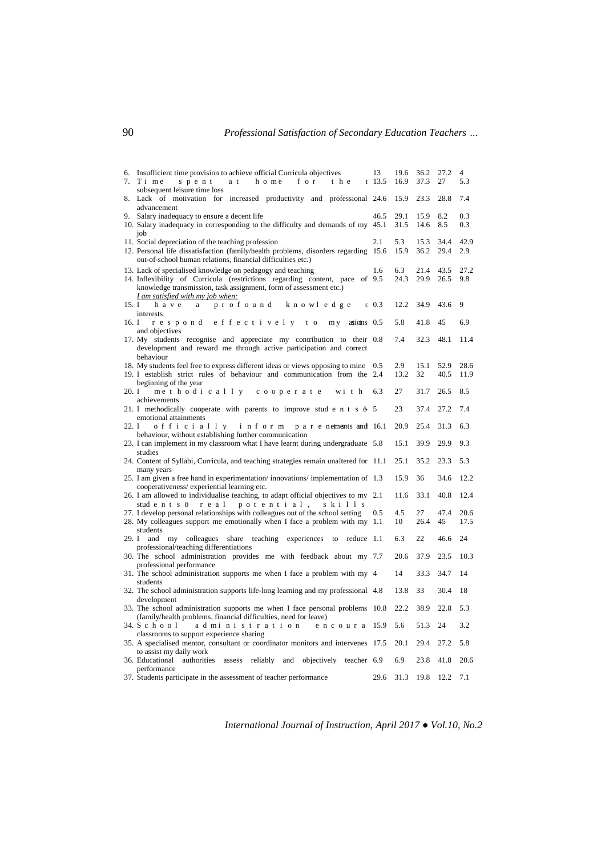| 6. Insufficient time provision to achieve official Curricula objectives                                                                   | 13   | 19.6        | 36.2         | 27.2         | 4           |
|-------------------------------------------------------------------------------------------------------------------------------------------|------|-------------|--------------|--------------|-------------|
| 7. Vkog "urgpv" cv" jqog "hqt" vjg "                                                                                                      | 13.5 | 16.9        | 37.3         | 27           | 5.3         |
| subsequent leisure time loss<br>8. Lack of motivation for increased productivity and professional 24.6                                    |      | 15.9        | 23.3         | 28.8         | 7.4         |
| advancement<br>9. Salary inadequacy to ensure a decent life                                                                               | 46.5 | 29.1        | 15.9         | 8.2          | 0.3         |
| 10. Salary inadequacy in corresponding to the difficulty and demands of my 45.1                                                           |      | 31.5        | 14.6         | 8.5          | 0.3         |
| 11. Social depreciation of the teaching profession                                                                                        | 2.1  | 5.3         | 15.3         | 34.4         | 42.9        |
| 12. Personal life dissatisfaction (family/health problems, disorders regarding 15.6)                                                      |      | 15.9        | 36.2         | 29.4         | 2.9         |
| out-of-school human relations, financial difficulties etc.)                                                                               |      |             |              |              |             |
| 13. Lack of specialised knowledge on pedagogy and teaching<br>14. Inflexibility of Curricula (restrictions regarding content, pace of 9.5 | 1.6  | 6.3<br>24.3 | 21.4<br>29.9 | 43.5<br>26.5 | 27.2<br>9.8 |
| knowledge transmission, task assignment, form of assessment etc.)                                                                         |      |             |              |              |             |
| I am satisfied with my job when:                                                                                                          |      |             |              |              |             |
| 15. K " j c x g " c " r t q h q w p f " m p q y n g f i g " + 0.3                                                                         |      | 12.2        | 34.9         | 43.6         | 9           |
| interests<br>16. K " t g u r q p f " g h h g e v k x g n { " v q " o { "atuons 0.5                                                        |      | 5.8         | 41.8         | 45           | 6.9         |
| and objectives                                                                                                                            |      |             |              |              |             |
| 17. My students recognise and appreciate my contribution to their 0.8                                                                     |      | 7.4         | 32.3         | 48.1         | 11.4        |
| development and reward me through active participation and correct<br>behaviour                                                           |      |             |              |              |             |
| 18. My students feel free to express different ideas or views opposing to mine 0.5                                                        |      | 2.9         | 15.1         | 52.9         | 28.6        |
| 19. I establish strict rules of behaviour and communication from the 2.4                                                                  |      | 13.2        | 32           | 40.5         | 11.9        |
| beginning of the year<br>20. K " og v j q f k e c n n { " e q q r g t c v g " y k v j 6.3                                                 |      | 27          | 31.7         | 26.5         | 8.5         |
| achievements                                                                                                                              |      |             |              |              |             |
| 21. I methodically cooperate with parents to improve stu f g p v u $\epsilon$ 5                                                           |      | 23          | 37.4         | 27.2         | - 7.4       |
| emotional attainments<br>22. K " q h h k e k c n n { " k p h q t o " r c t g pements" and 16.1                                            |      | 20.9        | 25.4         | 31.3         | 6.3         |
| behaviour, without establishing further communication                                                                                     |      |             |              |              |             |
| 23. I can implement in my classroom what I have learnt during undergraduate 5.8                                                           |      | 15.1        | 39.9         | 29.9         | 9.3         |
| studies                                                                                                                                   |      | 25.1        |              |              | 5.3         |
| 24. Content of Syllabi, Curricula, and teaching strategies remain unaltered for 11.1<br>many years                                        |      |             | 35.2         | 23.3         |             |
| 25. I am given a free hand in experimentation/innovations/implementation of 1.3                                                           |      | 15.9        | 36           |              | 34.6 12.2   |
| cooperativeness/experiential learning etc.                                                                                                |      |             |              |              |             |
| 26. I am allowed to individualise teaching, to adapt official objectives to my 2.1<br>stufgpvuø"tgcn"rqvgpvkcn. "umknnu                   |      | 11.6        | 33.1         | 40.8         | 12.4        |
| 27. I develop personal relationships with colleagues out of the school setting                                                            | 0.5  | 4.5         | 27           | 47.4         | 20.6        |
| 28. My colleagues support me emotionally when I face a problem with my 1.1                                                                |      | 10          | 26.4         | 45           | 17.5        |
| students<br>29. I and my colleagues share teaching experiences to reduce 1.1                                                              |      | 6.3         | 22           | 46.6         | 24          |
| professional/teaching differentiations                                                                                                    |      |             |              |              |             |
| 30. The school administration provides me with feedback about my 7.7                                                                      |      | 20.6        | 37.9         | 23.5         | 10.3        |
| professional performance<br>31. The school administration supports me when I face a problem with my 4                                     |      | 14          | 33.3         | 34.7         | -14         |
| students                                                                                                                                  |      |             |              |              |             |
| 32. The school administration supports life-long learning and my professional 4.8                                                         |      | 13.8        | 33           | 30.4         | -18         |
| development<br>33. The school administration supports me when I face personal problems 10.8                                               |      | 22.2        | 38.9         | 22.8         | 5.3         |
| (family/health problems, financial difficulties, need for leave)                                                                          |      |             |              |              |             |
| 34. U e j q q n " c f o k p k u v t c v k q p " g p e q w t c 15.9                                                                        |      | 5.6         | 51.3         | 24           | 3.2         |
| classrooms to support experience sharing<br>35. A specialised mentor, consultant or coordinator monitors and intervenes 17.5              |      | 20.1        | 29.4         | 27.2         | - 5.8       |
| to assist my daily work                                                                                                                   |      |             |              |              |             |
| 36. Educational<br>authorities assess reliably and objectively teacher 6.9                                                                |      | 6.9         | 23.8         | 41.8         | 20.6        |
| performance<br>37. Students participate in the assessment of teacher performance                                                          | 29.6 | 31.3        | 19.8         | 12.2         | 7.1         |
|                                                                                                                                           |      |             |              |              |             |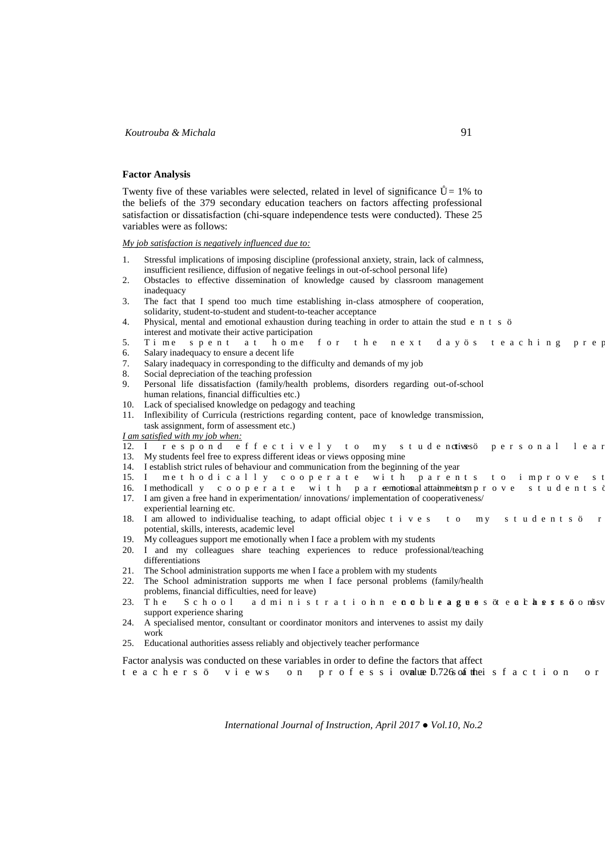### **Factor Analysis**

Twenty five of these variables were selected, related in level of significance  $= 1\%$  to the beliefs of the 379 secondary education teachers on factors affecting professional satisfaction or dissatisfaction (chi-square independence tests were conducted). These 25 variables were as follows:

*My job satisfaction is negatively influenced due to:* 

- 1. Stressful implications of imposing discipline (professional anxiety, strain, lack of calmness, insufficient resilience, diffusion of negative feelings in out-of-school personal life)
- 2. Obstacles to effective dissemination of knowledge caused by classroom management inadequacy
- 3. The fact that I spend too much time establishing in-class atmosphere of cooperation, solidarity, student-to-student and student-to-teacher acceptance
- 4. Physical, mental and emotional exhaustion during teaching in order to attain the stuff g p v u  $\varphi$  " interest and motivate their active participation
- 5. Vkog "urgpv"cv" jqog "hqt"vjg "pgzv" fc {øu "vgce jkpi" rtg 6. Salary inadequacy to ensure a decent life
- 
- 7. Salary inadequacy in corresponding to the difficulty and demands of my job
- 8. Social depreciation of the teaching profession
- 9. Personal life dissatisfaction (family/health problems, disorders regarding out-of-school human relations, financial difficulties etc.)
- 10. Lack of specialised knowledge on pedagogy and teaching
- 11. Inflexibility of Curricula (restrictions regarding content, pace of knowledge transmission, task assignment, form of assessment etc.)

*I am satisfied with my job when:*

- 12. K" tgurqpf"ghhgevkxgn{"vq"o{"uvwfgpxivesø" rgtuqpcn"ngc
- 13. My students feel free to express different ideas or views opposing mine
- 14. I establish strict rules of behaviour and communication from the beginning of the year
- 15. K" og vjqfke cnn{"eqqrgtcvg"ykvj"rctgpvu"vq"kortqxg"u'
- 16. I methodical n { " e q q r g t c v g " y k v j " r c t -gmptional "attaiqm'entso r t q x g " u v w f g p v u
- 17. I am given a free hand in experimentation/ innovations/ implementation of cooperativeness/ experiential learning etc.
- 18. I am allowed to individualise teaching, to adapt official obje e v k x g u " v q " o { " u v w f g p v u  $\varphi$  " t potential, skills, interests, academic level
- 19. My colleagues support me emotionally when I face a problem with my students
- 20. I and my colleagues share teaching experiences to reduce professional/teaching differentiations
- 21. The School administration supports me when I face a problem with my students
- 22. The School administration supports me when I face personal problems (family/health
- problems, financial difficulties, need for leave)
- 23. Vjg "Uejqqn " c f okpkuvt c vkq pp"g p q n w g c i w g d ow "g e n g g u t o q d o-w support experience sharing
- 24. A specialised mentor, consultant or coordinator monitors and intervenes to assist my daily work
- 25. Educational authorities assess reliably and objectively teacher performance

Factor analysis was conducted on these variables in order to define the factors that affect

vgcejgtuø" xkgyu" qp "rtqhguuk q apue 0n726 unfchekuh cevkqp "qt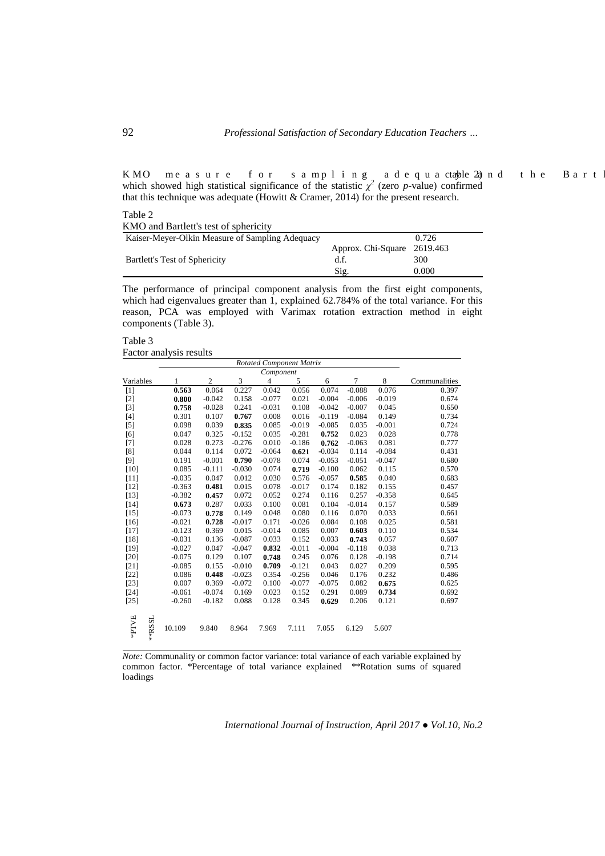.02 PHDQ " og cuwtg " hqt " ucornkpi " cfgswc dable"2); pf " vjg " D ctv which showed high statistical significance of the statistic  $\chi^2$  (zero *p*-value) confirmed that this technique was adequate (Howitt & Cramer, 2014) for the present research.

Table 2

| $\cdots$                                        |                             |       |  |  |  |  |  |  |
|-------------------------------------------------|-----------------------------|-------|--|--|--|--|--|--|
| KMO and Bartlett's test of sphericity           |                             |       |  |  |  |  |  |  |
| Kaiser-Meyer-Olkin Measure of Sampling Adequacy |                             | 0.726 |  |  |  |  |  |  |
|                                                 | Approx. Chi-Square 2619.463 |       |  |  |  |  |  |  |
| Bartlett's Test of Sphericity                   | d.f.                        | 300   |  |  |  |  |  |  |
|                                                 | Sig.                        | 0.000 |  |  |  |  |  |  |

The performance of principal component analysis from the first eight components, which had eigenvalues greater than 1, explained 62.784% of the total variance. For this reason, PCA was employed with Varimax rotation extraction method in eight components (Table 3).

Table 3 Factor analysis results

|           | Rotated Component Matrix |              |                |          |                |          |          |          |          |               |
|-----------|--------------------------|--------------|----------------|----------|----------------|----------|----------|----------|----------|---------------|
|           |                          |              |                |          |                |          |          |          |          |               |
| Variables |                          | $\mathbf{1}$ | $\overline{c}$ | 3        | $\overline{4}$ | 5        | 6        | 7        | 8        | Communalities |
| $[1]$     |                          | 0.563        | 0.064          | 0.227    | 0.042          | 0.056    | 0.074    | $-0.088$ | 0.076    | 0.397         |
| $[2]$     |                          | 0.800        | $-0.042$       | 0.158    | $-0.077$       | 0.021    | $-0.004$ | $-0.006$ | $-0.019$ | 0.674         |
| $[3]$     |                          | 0.758        | $-0.028$       | 0.241    | $-0.031$       | 0.108    | $-0.042$ | $-0.007$ | 0.045    | 0.650         |
| $[4]$     |                          | 0.301        | 0.107          | 0.767    | 0.008          | 0.016    | $-0.119$ | $-0.084$ | 0.149    | 0.734         |
| $[5]$     |                          | 0.098        | 0.039          | 0.835    | 0.085          | $-0.019$ | $-0.085$ | 0.035    | $-0.001$ | 0.724         |
| [6]       |                          | 0.047        | 0.325          | $-0.152$ | 0.035          | $-0.281$ | 0.752    | 0.023    | 0.028    | 0.778         |
| [7]       |                          | 0.028        | 0.273          | $-0.276$ | 0.010          | $-0.186$ | 0.762    | $-0.063$ | 0.081    | 0.777         |
| [8]       |                          | 0.044        | 0.114          | 0.072    | $-0.064$       | 0.621    | $-0.034$ | 0.114    | $-0.084$ | 0.431         |
| $[9]$     |                          | 0.191        | $-0.001$       | 0.790    | $-0.078$       | 0.074    | $-0.053$ | $-0.051$ | $-0.047$ | 0.680         |
| $[10]$    |                          | 0.085        | $-0.111$       | $-0.030$ | 0.074          | 0.719    | $-0.100$ | 0.062    | 0.115    | 0.570         |
| $[11]$    |                          | $-0.035$     | 0.047          | 0.012    | 0.030          | 0.576    | $-0.057$ | 0.585    | 0.040    | 0.683         |
| [12]      |                          | $-0.363$     | 0.481          | 0.015    | 0.078          | $-0.017$ | 0.174    | 0.182    | 0.155    | 0.457         |
| [13]      |                          | $-0.382$     | 0.457          | 0.072    | 0.052          | 0.274    | 0.116    | 0.257    | $-0.358$ | 0.645         |
| $[14]$    |                          | 0.673        | 0.287          | 0.033    | 0.100          | 0.081    | 0.104    | $-0.014$ | 0.157    | 0.589         |
| $[15]$    |                          | $-0.073$     | 0.778          | 0.149    | 0.048          | 0.080    | 0.116    | 0.070    | 0.033    | 0.661         |
| $[16]$    |                          | $-0.021$     | 0.728          | $-0.017$ | 0.171          | $-0.026$ | 0.084    | 0.108    | 0.025    | 0.581         |
| $[17]$    |                          | $-0.123$     | 0.369          | 0.015    | $-0.014$       | 0.085    | 0.007    | 0.603    | 0.110    | 0.534         |
| [18]      |                          | $-0.031$     | 0.136          | $-0.087$ | 0.033          | 0.152    | 0.033    | 0.743    | 0.057    | 0.607         |
| [19]      |                          | $-0.027$     | 0.047          | $-0.047$ | 0.832          | $-0.011$ | $-0.004$ | $-0.118$ | 0.038    | 0.713         |
| [20]      |                          | $-0.075$     | 0.129          | 0.107    | 0.748          | 0.245    | 0.076    | 0.128    | $-0.198$ | 0.714         |
| $[21]$    |                          | $-0.085$     | 0.155          | $-0.010$ | 0.709          | $-0.121$ | 0.043    | 0.027    | 0.209    | 0.595         |
| $[22]$    |                          | 0.086        | 0.448          | $-0.023$ | 0.354          | $-0.256$ | 0.046    | 0.176    | 0.232    | 0.486         |
| $[23]$    |                          | 0.007        | 0.369          | $-0.072$ | 0.100          | $-0.077$ | $-0.075$ | 0.082    | 0.675    | 0.625         |
| [24]      |                          | $-0.061$     | $-0.074$       | 0.169    | 0.023          | 0.152    | 0.291    | 0.089    | 0.734    | 0.692         |
| $[25]$    |                          | $-0.260$     | $-0.182$       | 0.088    | 0.128          | 0.345    | 0.629    | 0.206    | 0.121    | 0.697         |
| #PTVE     | **RSSL                   | 10.109       | 9.840          | 8.964    | 7.969          | 7.111    | 7.055    | 6.129    | 5.607    |               |

*Note:* Communality or common factor variance: total variance of each variable explained by common factor. \*Percentage of total variance explained \*\*Rotation sums of squared loadings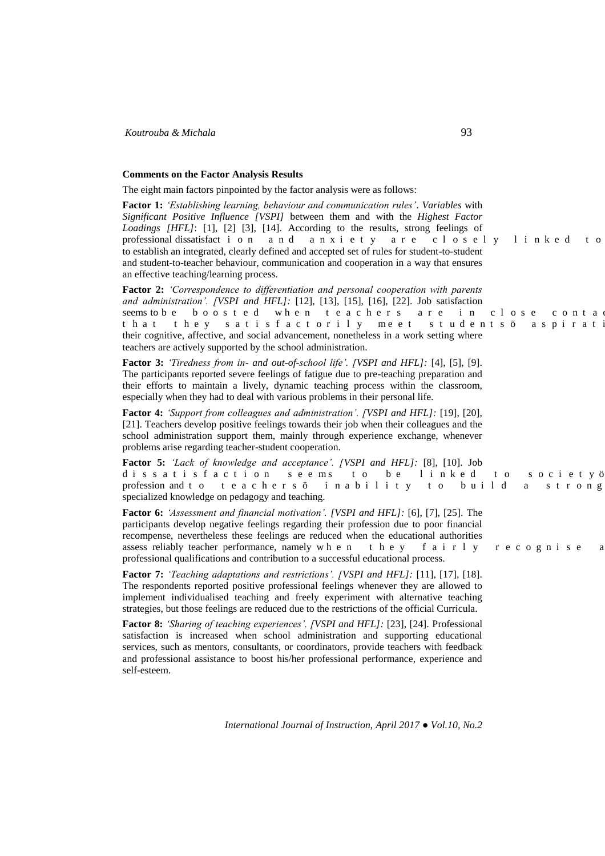### **Comments on the Factor Analysis Results**

The eight main factors pinpointed by the factor analysis were as follows:

**Factor 1:** *'Establishing learning, behaviour and communication rules'*. *Variables* with *Significant Positive Influence [VSPI]* between them and with the *Highest Factor Loadings [HFL]*: [1], [2] [3], [14]. According to the results, strong feelings of professional dissatisfac v k q p " c p f " c p z k g v { " c t g " e n q u g n { " n k p m g f " v q to establish an integrated, clearly defined and accepted set of rules for student-to-student and student-to-teacher behaviour, communication and cooperation in a way that ensures an effective teaching/learning process. **Factor 2:** *'Correspondence to differentiation and personal cooperation with parents* 

*and administration'. [VSPI and HFL]:* [12], [13], [15], [16], [22]. Job satisfaction seems to dg "dqquvgf"yjgp"vgc e jgt u "ctg"kp"e nqug"e qpvc vjcv "vjg { " u c v k u h c e v q t k n { " o g g v " u v w f g p v u ø " c u r k t c v their cognitive, affective, and social advancement, nonetheless in a work setting where teachers are actively supported by the school administration.

**Factor 3:** *'Tiredness from in- and out-of-school life'. [VSPI and HFL]:* [4], [5], [9]. The participants reported severe feelings of fatigue due to pre-teaching preparation and their efforts to maintain a lively, dynamic teaching process within the classroom, especially when they had to deal with various problems in their personal life.

**Factor 4:** *'Support from colleagues and administration'. [VSPI and HFL]:* [19], [20], [21]. Teachers develop positive feelings towards their job when their colleagues and the school administration support them, mainly through experience exchange, whenever problems arise regarding teacher-student cooperation.

**Factor 5:** *'Lack of knowledge and acceptance'. [VSPI and HFL]:* [8], [10]. Job f kuuc v ku h c e v k q p "uggou" v q "dg" n k p m g f "v q "u q e k g v { a profession and vq "vgcejgtuø" kpcdknkv{ "vq "dwknf" c "uvtqpi specialized knowledge on pedagogy and teaching.

**Factor 6:** *'Assessment and financial motivation'. [VSPI and HFL]:* [6], [7], [25]. The participants develop negative feelings regarding their profession due to poor financial recompense, nevertheless these feelings are reduced when the educational authorities assess reliably teacher performance, namely  $y$  j  $g$  p "  $v$  j  $g$  { "  $h$  c  $k$  t  $n$  { " t  $g$  e  $q$  i  $p$   $k$  u  $g$  " o professional qualifications and contribution to a successful educational process.

**Factor 7:** *'Teaching adaptations and restrictions'. [VSPI and HFL]:* [11], [17], [18]. The respondents reported positive professional feelings whenever they are allowed to implement individualised teaching and freely experiment with alternative teaching strategies, but those feelings are reduced due to the restrictions of the official Curricula.

**Factor 8:** *'Sharing of teaching experiences'. [VSPI and HFL]:* [23], [24]. Professional satisfaction is increased when school administration and supporting educational services, such as mentors, consultants, or coordinators, provide teachers with feedback and professional assistance to boost his/her professional performance, experience and self-esteem.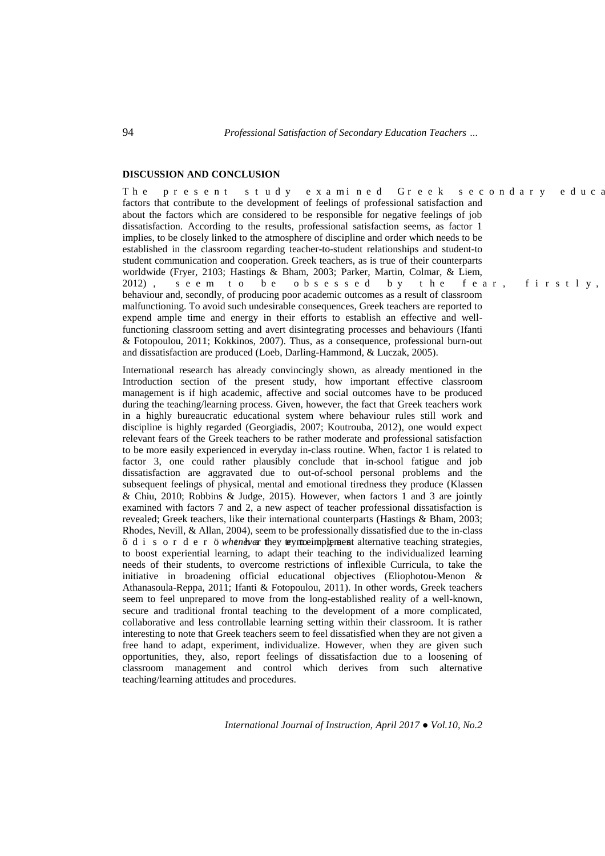## **DISCUSSION AND CONCLUSION**

Vjg "rtgugpv"uvwf{"gzcokpgf"Itggm"ugeqpfct{"gfwe factors that contribute to the development of feelings of professional satisfaction and about the factors which are considered to be responsible for negative feelings of job dissatisfaction. According to the results, professional satisfaction seems, as factor 1 implies, to be closely linked to the atmosphere of discipline and order which needs to be established in the classroom regarding teacher-to-student relationships and student-to student communication and cooperation. Greek teachers, as is true of their counterparts worldwide (Fryer, 2103; Hastings & Bham, 2003; Parker, Martin, Colmar, & Liem,  $2012+$  . "uggo" vq "dg" qduguugf "d{" vjg" hgct . "hktuvn{. behaviour and, secondly, of producing poor academic outcomes as a result of classroom malfunctioning. To avoid such undesirable consequences, Greek teachers are reported to expend ample time and energy in their efforts to establish an effective and wellfunctioning classroom setting and avert disintegrating processes and behaviours (Ifanti & Fotopoulou, 2011; Kokkinos, 2007). Thus, as a consequence, professional burn-out and dissatisfaction are produced (Loeb, Darling-Hammond, & Luczak, 2005).

International research has already convincingly shown, as already mentioned in the Introduction section of the present study, how important effective classroom management is if high academic, affective and social outcomes have to be produced during the teaching/learning process. Given, however, the fact that Greek teachers work in a highly bureaucratic educational system where behaviour rules still work and discipline is highly regarded (Georgiadis, 2007; Koutrouba, 2012), one would expect relevant fears of the Greek teachers to be rather moderate and professional satisfaction to be more easily experienced in everyday in-class routine. When, factor 1 is related to factor 3, one could rather plausibly conclude that in-school fatigue and job dissatisfaction are aggravated due to out-of-school personal problems and the subsequent feelings of physical, mental and emotional tiredness they produce (Klassen & Chiu, 2010; Robbins & Judge, 2015). However, when factors 1 and 3 are jointly examined with factors 7 and 2, a new aspect of teacher professional dissatisfaction is revealed; Greek teachers, like their international counterparts (Hastings & Bham, 2003; Rhodes, Nevill, & Allan, 2004), seem to be professionally dissatisfied due to the in-class  $\div$  f k u q t f g t  $\phi$ *whenever* they try to go implement alternative teaching strategies, to boost experiential learning, to adapt their teaching to the individualized learning needs of their students, to overcome restrictions of inflexible Curricula, to take the initiative in broadening official educational objectives (Eliophotou-Menon & Athanasoula-Reppa, 2011; Ifanti & Fotopoulou, 2011). In other words, Greek teachers seem to feel unprepared to move from the long-established reality of a well-known, secure and traditional frontal teaching to the development of a more complicated, collaborative and less controllable learning setting within their classroom. It is rather interesting to note that Greek teachers seem to feel dissatisfied when they are not given a free hand to adapt, experiment, individualize. However, when they are given such opportunities, they, also, report feelings of dissatisfaction due to a loosening of classroom management and control which derives from such alternative teaching/learning attitudes and procedures.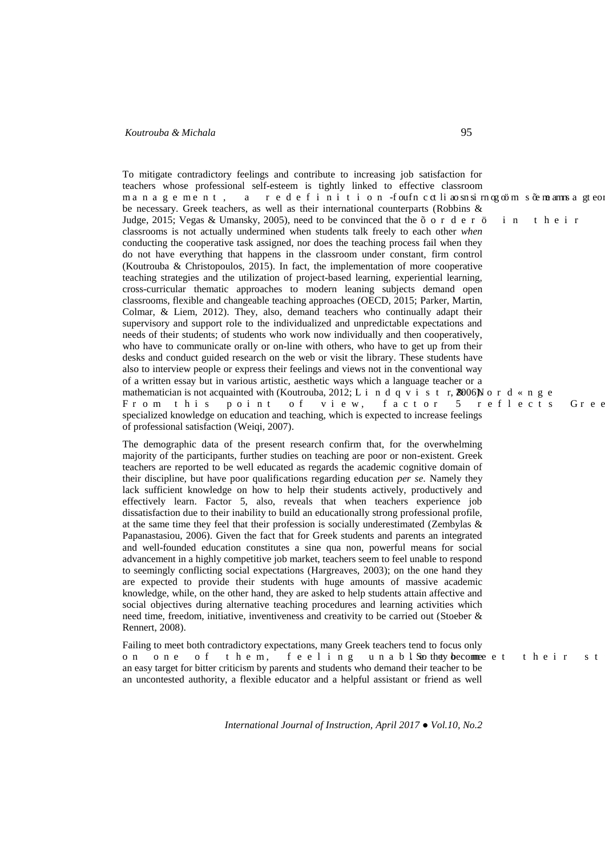To mitigate contradictory feelings and contribute to increasing job satisfaction for teachers whose professional self-esteem is tightly linked to effective classroom ocpcigogpv." c" tgfghkpkvkqp "hqwhp"e evnkcqupuktpqiqoo" "u -gogcopu c" ivgq be necessary. Greek teachers, as well as their international counterparts (Robbins & Judge, 2015; Vegas & Umansky, 2005), need to be convinced that the  $\div$  q t f g t  $\emptyset$  " k p " v j g k t " classrooms is not actually undermined when students talk freely to each other *when* conducting the cooperative task assigned, nor does the teaching process fail when they do not have everything that happens in the classroom under constant, firm control (Koutrouba & Christopoulos, 2015). In fact, the implementation of more cooperative teaching strategies and the utilization of project-based learning, experiential learning, cross-curricular thematic approaches to modern leaning subjects demand open classrooms, flexible and changeable teaching approaches (OECD, 2015; Parker, Martin, Colmar, & Liem, 2012). They, also, demand teachers who continually adapt their supervisory and support role to the individualized and unpredictable expectations and needs of their students; of students who work now individually and then cooperatively, who have to communicate orally or on-line with others, who have to get up from their desks and conduct guided research on the web or visit the library. These students have also to interview people or express their feelings and views not in the conventional way of a written essay but in various artistic, aesthetic ways which a language teacher or a mathematician is not acquainted with (Koutrouba, 2012; N k p f s x k u v r'', 2006) $P$  q t f  $\mathcal{D}$  p i g Htqo "vjku "rqkpv"qh "xkgy. "hcevqt " 7 "tghngevu " I tg specialized knowledge on education and teaching, which is expected to increase feelings of professional satisfaction (Weiqi, 2007).

The demographic data of the present research confirm that, for the overwhelming majority of the participants, further studies on teaching are poor or non-existent. Greek teachers are reported to be well educated as regards the academic cognitive domain of their discipline, but have poor qualifications regarding education *per se*. Namely they lack sufficient knowledge on how to help their students actively, productively and effectively learn. Factor 5, also, reveals that when teachers experience job dissatisfaction due to their inability to build an educationally strong professional profile, at the same time they feel that their profession is socially underestimated (Zembylas & Papanastasiou, 2006). Given the fact that for Greek students and parents an integrated and well-founded education constitutes a sine qua non, powerful means for social advancement in a highly competitive job market, teachers seem to feel unable to respond to seemingly conflicting social expectations (Hargreaves, 2003); on the one hand they are expected to provide their students with huge amounts of massive academic knowledge, while, on the other hand, they are asked to help students attain affective and social objectives during alternative teaching procedures and learning activities which need time, freedom, initiative, inventiveness and creativity to be carried out (Stoeber & Rennert, 2008).

Failing to meet both contradictory expectations, many Greek teachers tend to focus only qp "qpg "qh "vjgo. "hggnkpi "wpcdnSgthey become ggv "vjgkt "uv an easy target for bitter criticism by parents and students who demand their teacher to be an uncontested authority, a flexible educator and a helpful assistant or friend as well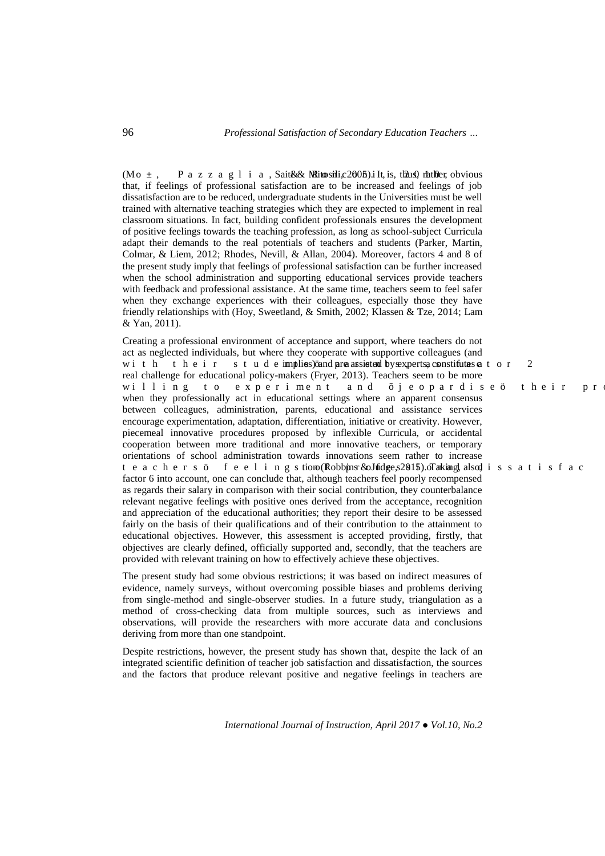(O q  $3$ . " R c | | c i n k c .Sa'iti (& Mitosili, 2005). It is, "thus 2 rather = obvious that, if feelings of professional satisfaction are to be increased and feelings of job dissatisfaction are to be reduced, undergraduate students in the Universities must be well trained with alternative teaching strategies which they are expected to implement in real classroom situations. In fact, building confident professionals ensures the development of positive feelings towards the teaching profession, as long as school-subject Curricula adapt their demands to the real potentials of teachers and students (Parker, Martin, Colmar, & Liem, 2012; Rhodes, Nevill, & Allan, 2004). Moreover, factors 4 and 8 of the present study imply that feelings of professional satisfaction can be further increased when the school administration and supporting educational services provide teachers with feedback and professional assistance. At the same time, teachers seem to feel safer when they exchange experiences with their colleagues, especially those they have friendly relationships with (Hoy, Sweetland, & Smith, 2002; Klassen & Tze, 2014; Lam & Yan, 2011).

Creating a professional environment of acceptance and support, where teachers do not act as neglected individuals, but where they cooperate with supportive colleagues (and y k v j " v j g k t " u v w f gimphies) and are castiged by experts, constitutes  $x$  v q t " 4 real challenge for educational policy-makers (Fryer, 2013). Teachers seem to be more yknnkpi " vq " gzrgtkogpv " cpf " ÷ 1 gqrctfkugø " vjgkt " rt when they professionally act in educational settings where an apparent consensus between colleagues, administration, parents, educational and assistance services encourage experimentation, adaptation, differentiation, initiative or creativity. However, piecemeal innovative procedures proposed by inflexible Curricula, or accidental cooperation between more traditional and more innovative teachers, or temporary orientations of school administration towards innovations seem rather to increase vgcejgtuø" h ggn k p i utiönq Rhobbins t& qludge, 20015). Ta king, nalsof k u u c v k u h c e factor 6 into account, one can conclude that, although teachers feel poorly recompensed as regards their salary in comparison with their social contribution, they counterbalance relevant negative feelings with positive ones derived from the acceptance, recognition and appreciation of the educational authorities; they report their desire to be assessed fairly on the basis of their qualifications and of their contribution to the attainment to educational objectives. However, this assessment is accepted providing, firstly, that objectives are clearly defined, officially supported and, secondly, that the teachers are provided with relevant training on how to effectively achieve these objectives.

The present study had some obvious restrictions; it was based on indirect measures of evidence, namely surveys, without overcoming possible biases and problems deriving from single-method and single-observer studies. In a future study, triangulation as a method of cross-checking data from multiple sources, such as interviews and observations, will provide the researchers with more accurate data and conclusions deriving from more than one standpoint.

Despite restrictions, however, the present study has shown that, despite the lack of an integrated scientific definition of teacher job satisfaction and dissatisfaction, the sources and the factors that produce relevant positive and negative feelings in teachers are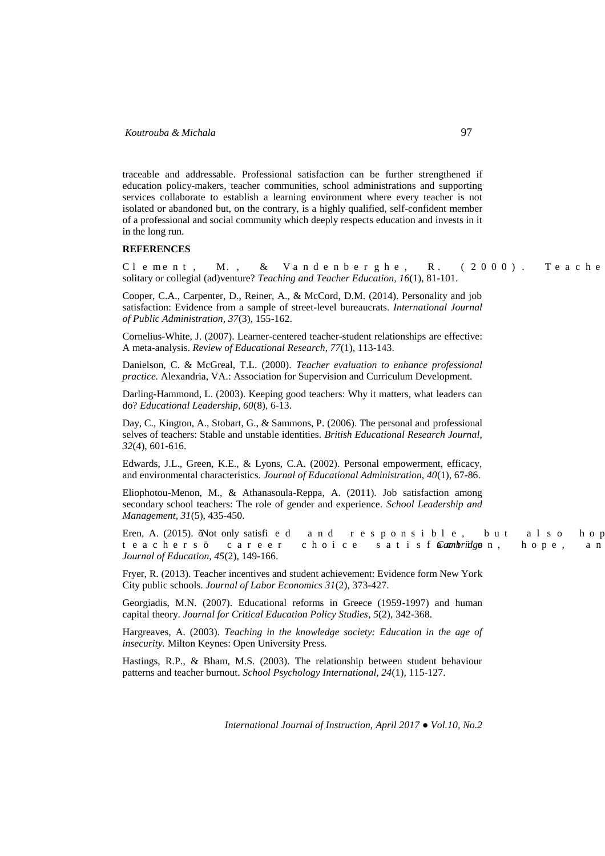traceable and addressable. Professional satisfaction can be further strengthened if education policy-makers, teacher communities, school administrations and supporting services collaborate to establish a learning environment where every teacher is not isolated or abandoned but, on the contrary, is a highly qualified, self-confident member of a professional and social community which deeply respects education and invests in it in the long run.

## **REFERENCES**

Engogpv. "OO." ("Xcpfgpdgtijg. "TO" \* 4222 + 0 "Vgcejg solitary or collegial (ad)venture? *Teaching and Teacher Education, 16*(1), 81-101.

Cooper, C.A., Carpenter, D., Reiner, A., & McCord, D.M. (2014). Personality and job satisfaction: Evidence from a sample of street-level bureaucrats. *International Journal of Public Administration, 37*(3), 155-162.

Cornelius-White, J. (2007). Learner-centered teacher-student relationships are effective: A meta-analysis. *Review of Educational Research, 77*(1), 113-143.

Danielson, C. & McGreal, T.L. (2000). *Teacher evaluation to enhance professional practice.* Alexandria, VA.: Association for Supervision and Curriculum Development.

Darling-Hammond, L. (2003). Keeping good teachers: Why it matters, what leaders can do? *Educational Leadership, 60*(8), 6-13.

Day, C., Kington, A., Stobart, G., & Sammons, P. (2006). The personal and professional selves of teachers: Stable and unstable identities. *British Educational Research Journal, 32*(4), 601-616.

Edwards, J.L., Green, K.E., & Lyons, C.A. (2002). Personal empowerment, efficacy, and environmental characteristics. *Journal of Educational Administration, 40*(1), 67-86.

Eliophotou-Menon, M., & Athanasoula-Reppa, A. (2011). Job satisfaction among secondary school teachers: The role of gender and experience. *School Leadership and Management, 31*(5), 435-450.

Eren, A. (2015). Not only satisfk gf "cpf" t gur qpukdng. "dwv" cnuq" jq1 vgce jgtuø" ectggt" e jqkeg" ucvkuh*Cambrid*ga p. "jqrg." cp *Journal of Education, 45*(2), 149-166.

Fryer, R. (2013). Teacher incentives and student achievement: Evidence form New York City public schools. *Journal of Labor Economics 31*(2), 373-427.

Georgiadis, M.N. (2007). Educational reforms in Greece (1959-1997) and human capital theory. *Journal for Critical Education Policy Studies, 5*(2), 342-368.

Hargreaves, A. (2003). *Teaching in the knowledge society: Education in the age of insecurity.* Milton Keynes: Open University Press.

Hastings, R.P., & Bham, M.S. (2003). The relationship between student behaviour patterns and teacher burnout. *School Psychology International, 24*(1)*,* 115-127.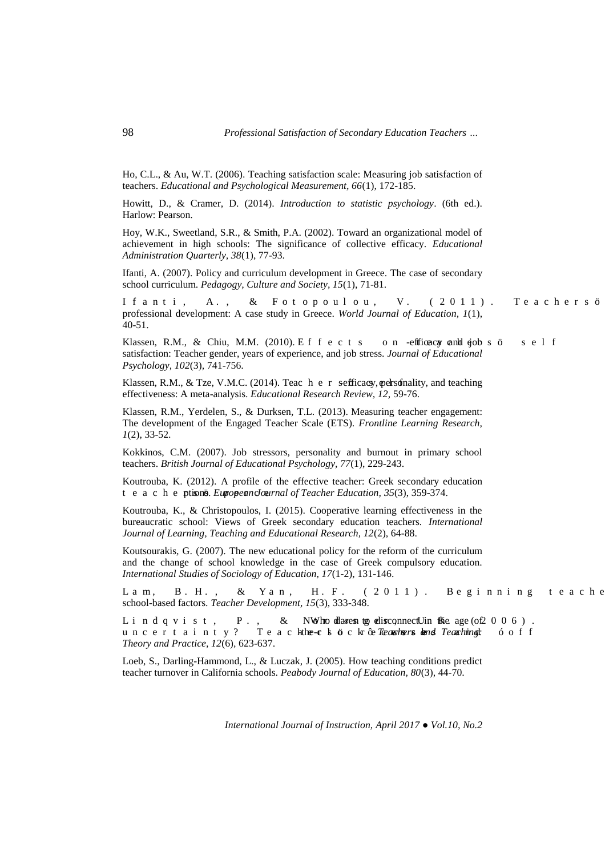Ho, C.L., & Au, W.T. (2006). Teaching satisfaction scale: Measuring job satisfaction of teachers. *Educational and Psychological Measurement, 66*(1)*,* 172-185.

Howitt, D., & Cramer, D. (2014). *Introduction to statistic psychology*. (6th ed.). Harlow: Pearson.

Hoy, W.K., Sweetland, S.R., & Smith, P.A. (2002). Toward an organizational model of achievement in high schools: The significance of collective efficacy. *Educational Administration Quarterly, 38*(1), 77-93.

Ifanti, A. (2007). Policy and curriculum development in Greece. The case of secondary school curriculum. *Pedagogy, Culture and Society, 15*(1), 71-81.

Khcpvk. "CO." ("Hqvqrqwnqw. "X0" \* 4233+0" Vgcejgtuø professional development: A case study in Greece. *World Journal of Education, 1*(1), 40-51.

Klassen, R.M., & Chiu, M.M. (2010). Ghhgevu "qp "efficacy and jobt uø" ugnh satisfaction: Teacher gender, years of experience, and job stress. *Journal of Educational Psychology*, *102*(3)*,* 741-756.

Klassen, R.M., & Tze, V.M.C. (2014). Tea e j g t +efficacy, personality, and teaching effectiveness: A meta-analysis. *Educational Research Review, 12,* 59-76.

Klassen, R.M., Yerdelen, S., & Durksen, T.L. (2013). Measuring teacher engagement: The development of the Engaged Teacher Scale (ETS)*. Frontline Learning Research, 1*(2), 33-52.

Kokkinos, C.M. (2007). Job stressors, personality and burnout in primary school teachers. *British Journal of Educational Psychology, 77*(1), 229-243.

Koutrouba, K. (2012). A profile of the effective teacher: Greek secondary education W<sub>gcej</sub> ptions. *European Logmal of Teacher Education,* 35(3), 359-374.

Koutrouba, K., & Christopoulos, I. (2015). Cooperative learning effectiveness in the bureaucratic school: Views of Greek secondary education teachers. *International Journal of Learning, Teaching and Educational Research, 12*(2), 64-88.

Koutsourakis, G. (2007). The new educational policy for the reform of the curriculum and the change of school knowledge in the case of Greek compulsory education. *International Studies of Sociology of Education, 17*(1-2), 131-146.

N c o . " D 0 J 0 . " ( " [ c p . " J 0 H 0 " \* 4 2 3 3 + 0 " D g i k p p k p i " v g c e j g school-based factors. *Teacher Development, 15*(3), 333-348.

N k p f s x k u v  $\cdot$  " R 0  $\cdot$  " ( " PWphot da@esptoi gistonnect Win the Oage of 4 2 2 8 + 0 " wpegtvckpv{A " Vgce-jhg-e n q e'm ögTeagharstagada Teachingf " õ q h h *Theory and Practice, 12*(6)*,* 623-637.

Loeb, S., Darling-Hammond, L., & Luczak, J. (2005). How teaching conditions predict teacher turnover in California schools. *Peabody Journal of Education, 80*(3)*,* 44-70.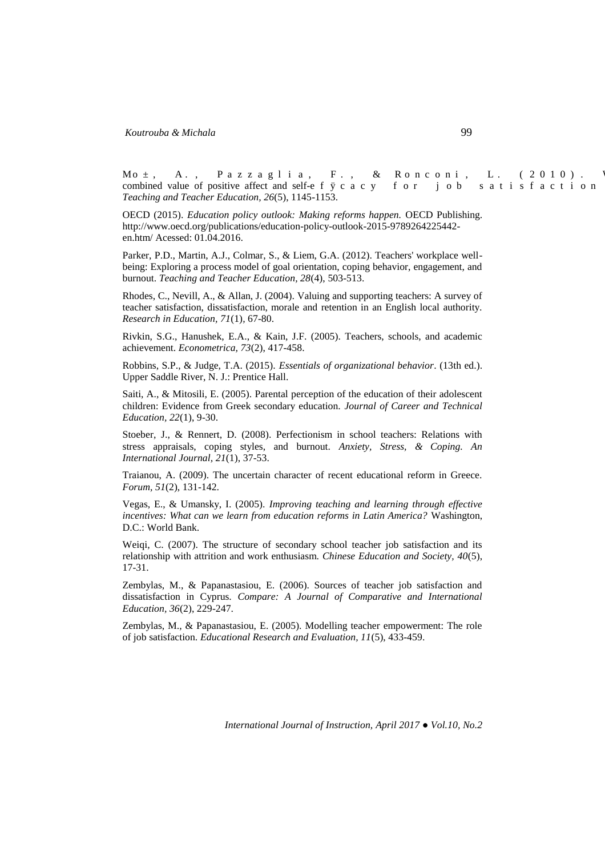Oq<sup>3</sup>." C0." R c | | c i n k c . " H 0 . " ( " T q p e q p k . " N 0 " \* 4 2 3 2 + 0 " ' combined value of positive affect and self-gh  $E\ e\ c\ e\ \{\,$  "hqt" lqd" u c v k u h c e v k q p ' *Teaching and Teacher Education, 26*(5), 1145-1153.

OECD (2015). *Education policy outlook: Making reforms happen.* OECD Publishing. [http://www.oecd.org/publications/education-policy-outlook-2015-9789264225442](http://www.oecd.org/publications/education-policy-outlook-2015-9789264225442-en.htm/) [en.htm/](http://www.oecd.org/publications/education-policy-outlook-2015-9789264225442-en.htm/) Acessed: 01.04.2016.

Parker, P.D., Martin, A.J., Colmar, S., & Liem, G.A. (2012). Teachers' workplace wellbeing: Exploring a process model of goal orientation, coping behavior, engagement, and burnout. *Teaching and Teacher Education, 28*(4), 503-513.

Rhodes, C., Nevill, A., & Allan, J. (2004). Valuing and supporting teachers: A survey of teacher satisfaction, dissatisfaction, morale and retention in an English local authority. *Research in Education, 71*(1)*,* 67-80.

Rivkin, S.G., Hanushek, E.A., & Kain, J.F. (2005). Teachers, schools, and academic achievement. *Econometrica, 73*(2), 417-458.

Robbins, S.P., & Judge, T.A. (2015). *Essentials of organizational behavior*. (13th ed.). Upper Saddle River, N. J.: Prentice Hall.

Saiti, A., & Mitosili, E. (2005). Parental perception of the education of their adolescent children: Evidence from Greek secondary education. *Journal of Career and Technical Education, 22*(1), 9-30.

Stoeber, J., & Rennert, D. (2008). Perfectionism in school teachers: Relations with stress appraisals, coping styles, and burnout. *Anxiety, Stress, & Coping. An International Journal, 21*(1), 37-53.

Traianou, A. (2009). The uncertain character of recent educational reform in Greece. *Forum, 51*(2), 131-142.

Vegas, E., & Umansky, I. (2005). *Improving teaching and learning through effective incentives: What can we learn from education reforms in Latin America?* Washington, D.C.: World Bank.

Weigi, C. (2007). The structure of secondary school teacher job satisfaction and its relationship with attrition and work enthusiasm. *Chinese Education and Society, 40*(5), 17-31.

Zembylas, M., & Papanastasiou, E. (2006). Sources of teacher job satisfaction and dissatisfaction in Cyprus. *Compare: A Journal of Comparative and International Education, 36*(2), 229-247.

Zembylas, M., & Papanastasiou, E. (2005). Modelling teacher empowerment: The role of job satisfaction. *Educational Research and Evaluation, 11*(5), 433-459.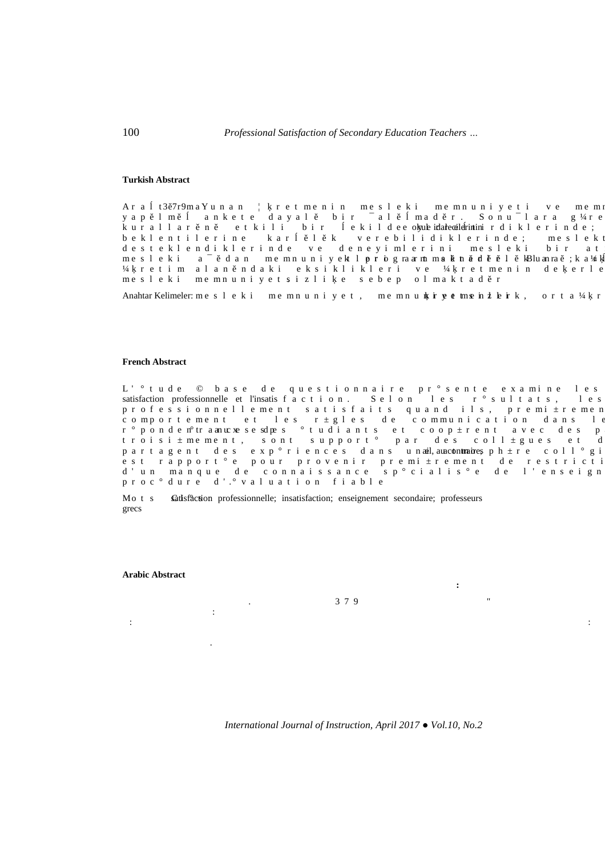#### **Turkish Abstract**

**Ortaöğretim Öğretmenlerinin Mesleki Memnuniyetleri: Yunanistan Örneği**

 $C$ t c v5,9t;o"c ["wpcp"  $\,$ " t g v o g p k p " o g u n g m k " o g o p w p k { g v k " x g " o g o  $\S$ cr, no, "cpmgvg"fc $\S$ cn, "dkt" $\pm$ cn, ocf, t0 "Uqpw $\pm$ nctc" i 34 tg mwtcnnct, p, "gvmknk" dkt" gmknf ge "ok{ulgidamcigerinink tfkmng tkpfg = ' dgmngpvkngtkpg "mct , n, m "xgtgdknkfkmngtkpfg="ogungm fguvgmngpfkmngtkpfg" xg" fgpg{kongtkpk " ogungmk " dkt " cv  $\log u$  n g m k  $v \in \pm$  , f c p  $v \log v$  p w p k { gmv 'n **g t k** i tectov 'o **u** m p c f n t  $\theta$  ", mbnw q tc ," =m'c $\mathcal{H}$  $^{34}$  tgvko" cncp,pfcmk" gmukmnkmngtk" xg"  $^{34}$  tgvogpkp" fggtng ogungmk "ogopwpk { g v u k | n k \_g "ugdg r " q n ocmv c f , t

Anahtar Kelimeler: og ungmk "og opwpk {gv. "og opwpk ggvog b ngkm. "qt vc 34 t

### **French Abstract**

Satisfaction Professionnelle de Professeurs d'Enseign

N ) <sup>2</sup> v w f g " « " d c u g " f g " s w g u v k q p p c k t g " r t <sup>2</sup> u g p v g " g z c o k p g " n g u satisfaction professionnelle et l'insatiuhcevkqp0" Ugnqp" ngu" t²uwnvcvu." ngu rtqhguukqppgnngogpv "ucvkuhckvu " swcpf " knu. " rtgok <sup>3</sup> tgogp eqorq t v g og p v " g v " ng u " t 3 i ng u " f g " e q oowpke c v k q p " f c p u " n ; t<sup>2</sup>rqpfgp<sup>2</sup>vt"copwezg"ug" ufrgu " <sup>2</sup> v w fk c p v u " g v " e q q r <sup>3</sup> t g p v " c x g e " f g u " r vtqkuk<sup>3</sup> ogogpv. "uqpv" uwrrqtv<sup>2</sup> "rct" fgu "eqnn<sup>3</sup> iwgu "gv" f rctvcigpv" fgu "gzr<sup>2</sup>tkgpegu " fcpu " w paij, äu contraine, urj<sup>3</sup>tg " eqnn<sup>2</sup>ik guv "tcrrq tv <sup>2</sup> g "rqwt "rtq x g p k t "rtg o k <sup>3</sup> tg o g p v "f g "tg u v t k e v l f ) wp " ocpswg " fg " eqppckuucpeg " ur <sup>2</sup> ekcnku <sup>2</sup>g " fg " n ) gpugkip rtqe<sup>2</sup> fwtg"f).<sup>2</sup> x c n w c v k q p "h k c d n g

Oq v u " satisfaction professionnelle; insatisfaction; enseignement secondaire; professeurs grecs



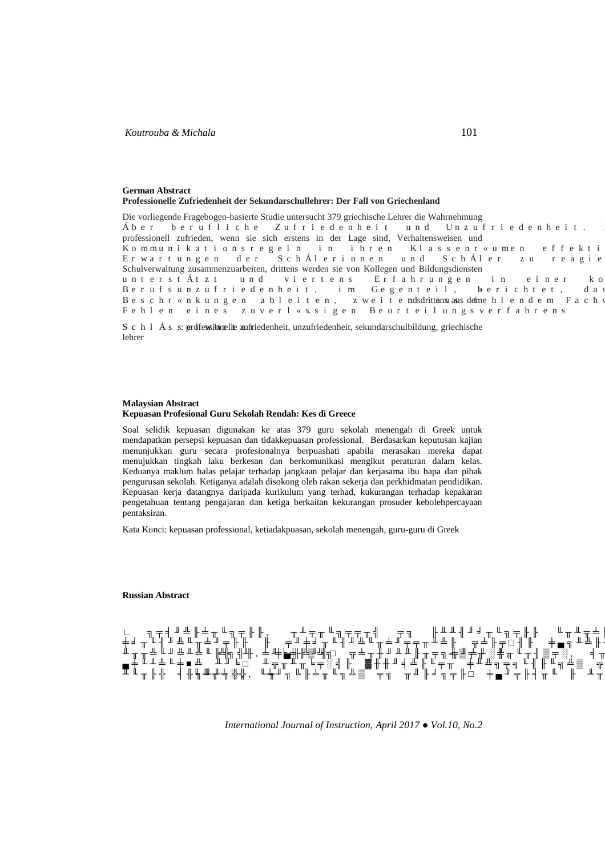#### **German Abstract Professionelle Zufriedenheit der Sekundarschullehrer: Der Fall von Griechenland**

Die vorliegende Fragebogen-basierte Studie untersucht 379 griechische Lehrer die Wahrnehmung Ädgt" dg twhnke jg" \whtkg fgp jg kv" wp f "Wp | whtkg fgp jg kv0" professionell zufrieden, wenn sie sich erstens in der Lage sind, Verhaltensweisen und .Mqoowpkmcvkqputgignp "kp "kjtgp "Mncuugpt®wogp "ghhgmvk Gtyctvwpigp "fgt" UejAngtkppgp "wpf " UejAngt " |w "tgcikg Schulverwaltung zusammenzuarbeiten, drittens werden sie von Kollegen und Bildungsdiensten wpvgtuvAv|v" wpf" xkgtvgpu" Gthcjtwpigp" kp" gkpgt" mq Dgtwhuwp | whtkgfgpjgkv. " ko " Igigpvgkn. " dgtkejvgv. " fc Dguejt ®pmwpigp "cdngkvgp. "|ygkvgmduhittenswaus "defngjngpfgo" Hcej Hgjngp "gkpgu " | wxgtn®uukigp "Dgwtvgknwpiuxgthcjtgpu

U e j n  $\tilde{A}$  u upgofessi $\delta$ adlle zufriedenheit, unzufriedenheit, sekundarschulbildung, griechische lehrer

#### **Malaysian Abstract Kepuasan Profesional Guru Sekolah Rendah: Kes di Greece**

Soal selidik kepuasan digunakan ke atas 379 guru sekolah menengah di Greek untuk mendapatkan persepsi kepuasan dan tidakkepuasan professional. Berdasarkan keputusan kajian menunjukkan guru secara profesionalnya berpuashati apabila merasakan mereka dapat menujukkan tingkah laku berkesan dan berkomunikasi mengikut peraturan dalam kelas. Keduanya maklum balas pelajar terhadap jangkaan pelajar dan kerjasama ibu bapa dan pihak pengurusan sekolah. Ketiganya adalah disokong oleh rakan sekerja dan perkhidmatan pendidikan. Kepuasan kerja datangnya daripada kurikulum yang terhad, kukurangan terhadap kepakaran pengetahuan tentang pengajaran dan ketiga berkaitan kekurangan prosuder kebolehpercayaan pentaksiran.

Kata Kunci: kepuasan professional, ketiadakpuasan, sekolah menengah, guru-guru di Greek

#### **Russian Abstract**